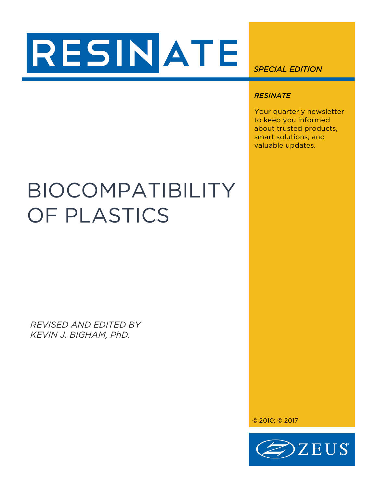# RESINATE

*SPECIAL EDITION* 

# *RESINATE*

Your quarterly newsletter to keep you informed about trusted products, smart solutions, and valuable updates.

# BIOCOMPATIBILITY OF PLASTICS

*REVISED AND EDITED BY KEVIN J. BIGHAM, PhD.*

© 2010; © 2017

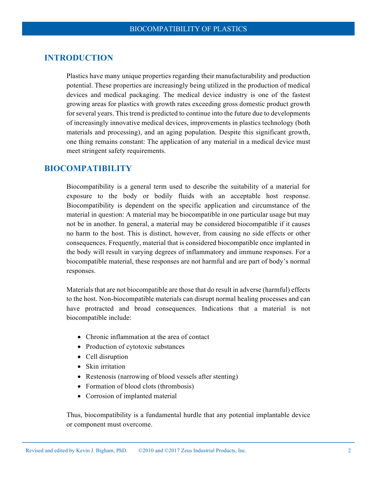# **INTRODUCTION**

Plastics have many unique properties regarding their manufacturability and production potential. These properties are increasingly being utilized in the production of medical devices and medical packaging. The medical device industry is one of the fastest growing areas for plastics with growth rates exceeding gross domestic product growth for several years. This trend is predicted to continue into the future due to developments of increasingly innovative medical devices, improvements in plastics technology (both materials and processing), and an aging population. Despite this significant growth, one thing remains constant: The application of any material in a medical device must meet stringent safety requirements.

## **BIOCOMPATIBILITY**

Biocompatibility is a general term used to describe the suitability of a material for exposure to the body or bodily fluids with an acceptable host response. Biocompatibility is dependent on the specific application and circumstance of the material in question: A material may be biocompatible in one particular usage but may not be in another. In general, a material may be considered biocompatible if it causes no harm to the host. This is distinct, however, from causing no side effects or other consequences. Frequently, material that is considered biocompatible once implanted in the body will result in varying degrees of inflammatory and immune responses. For a biocompatible material, these responses are not harmful and are part of body's normal responses.

Materials that are not biocompatible are those that do result in adverse (harmful) effects to the host. Non-biocompatible materials can disrupt normal healing processes and can have protracted and broad consequences. Indications that a material is not biocompatible include:

- Chronic inflammation at the area of contact
- Production of cytotoxic substances
- Cell disruption
- Skin irritation
- Restenosis (narrowing of blood vessels after stenting)
- Formation of blood clots (thrombosis)
- Corrosion of implanted material

Thus, biocompatibility is a fundamental hurdle that any potential implantable device or component must overcome.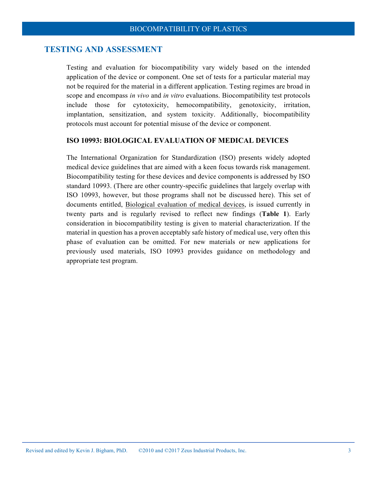#### **TESTING AND ASSESSMENT**

Testing and evaluation for biocompatibility vary widely based on the intended application of the device or component. One set of tests for a particular material may not be required for the material in a different application. Testing regimes are broad in scope and encompass *in vivo* and *in vitro* evaluations. Biocompatibility test protocols include those for cytotoxicity, hemocompatibility, genotoxicity, irritation, implantation, sensitization, and system toxicity. Additionally, biocompatibility protocols must account for potential misuse of the device or component.

#### **ISO 10993: BIOLOGICAL EVALUATION OF MEDICAL DEVICES**

The International Organization for Standardization (ISO) presents widely adopted medical device guidelines that are aimed with a keen focus towards risk management. Biocompatibility testing for these devices and device components is addressed by ISO standard 10993. (There are other country-specific guidelines that largely overlap with ISO 10993, however, but those programs shall not be discussed here). This set of documents entitled, Biological evaluation of medical devices, is issued currently in twenty parts and is regularly revised to reflect new findings (**Table 1**). Early consideration in biocompatibility testing is given to material characterization. If the material in question has a proven acceptably safe history of medical use, very often this phase of evaluation can be omitted. For new materials or new applications for previously used materials, ISO 10993 provides guidance on methodology and appropriate test program.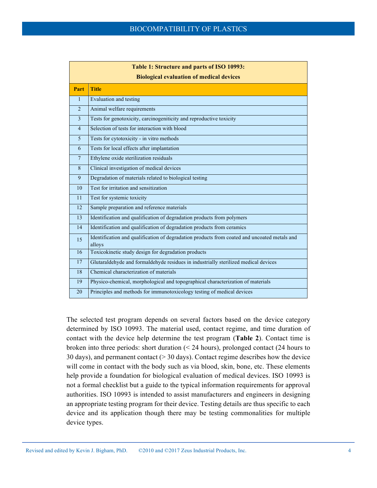| Table 1: Structure and parts of ISO 10993:      |                                                                                                        |  |  |  |
|-------------------------------------------------|--------------------------------------------------------------------------------------------------------|--|--|--|
| <b>Biological evaluation of medical devices</b> |                                                                                                        |  |  |  |
| Part                                            | <b>Title</b>                                                                                           |  |  |  |
| $\mathbf{1}$                                    | Evaluation and testing                                                                                 |  |  |  |
| $\overline{2}$                                  | Animal welfare requirements                                                                            |  |  |  |
| 3                                               | Tests for genotoxicity, carcinogeniticity and reproductive toxicity                                    |  |  |  |
| $\overline{4}$                                  | Selection of tests for interaction with blood                                                          |  |  |  |
| 5                                               | Tests for cytotoxicity - in vitro methods                                                              |  |  |  |
| 6                                               | Tests for local effects after implantation                                                             |  |  |  |
| $\tau$                                          | Ethylene oxide sterilization residuals                                                                 |  |  |  |
| 8                                               | Clinical investigation of medical devices                                                              |  |  |  |
| 9                                               | Degradation of materials related to biological testing                                                 |  |  |  |
| 10                                              | Test for irritation and sensitization                                                                  |  |  |  |
| 11                                              | Test for systemic toxicity                                                                             |  |  |  |
| 12                                              | Sample preparation and reference materials                                                             |  |  |  |
| 13                                              | Identification and qualification of degradation products from polymers                                 |  |  |  |
| 14                                              | Identification and qualification of degradation products from ceramics                                 |  |  |  |
| 15                                              | Identification and qualification of degradation products from coated and uncoated metals and<br>alloys |  |  |  |
| 16                                              | Toxicokinetic study design for degradation products                                                    |  |  |  |
| 17                                              | Glutaraldehyde and formaldehyde residues in industrially sterilized medical devices                    |  |  |  |
| 18                                              | Chemical characterization of materials                                                                 |  |  |  |
| 19                                              | Physico-chemical, morphological and topographical characterization of materials                        |  |  |  |
| 20                                              | Principles and methods for immunotoxicology testing of medical devices                                 |  |  |  |

The selected test program depends on several factors based on the device category determined by ISO 10993. The material used, contact regime, and time duration of contact with the device help determine the test program (**Table 2**). Contact time is broken into three periods: short duration (< 24 hours), prolonged contact (24 hours to 30 days), and permanent contact (> 30 days). Contact regime describes how the device will come in contact with the body such as via blood, skin, bone, etc. These elements help provide a foundation for biological evaluation of medical devices. ISO 10993 is not a formal checklist but a guide to the typical information requirements for approval authorities. ISO 10993 is intended to assist manufacturers and engineers in designing an appropriate testing program for their device. Testing details are thus specific to each device and its application though there may be testing commonalities for multiple device types.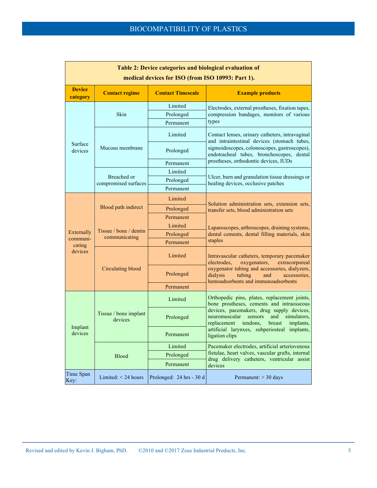| Table 2: Device categories and biological evaluation of<br>medical devices for ISO (from ISO 10993: Part 1). |                                         |                                   |                                                                                                                                                                                                                                                                                                              |  |  |
|--------------------------------------------------------------------------------------------------------------|-----------------------------------------|-----------------------------------|--------------------------------------------------------------------------------------------------------------------------------------------------------------------------------------------------------------------------------------------------------------------------------------------------------------|--|--|
| <b>Device</b><br>category                                                                                    | <b>Contact regime</b>                   | <b>Contact Timescale</b>          | <b>Example products</b>                                                                                                                                                                                                                                                                                      |  |  |
|                                                                                                              | Skin                                    | Limited<br>Prolonged<br>Permanent | Electrodes, external prostheses, fixation tapes,<br>compression bandages, monitors of various<br>types                                                                                                                                                                                                       |  |  |
| Surface                                                                                                      | Mucous membrane                         | Limited                           | Contact lenses, urinary catheters, intravaginal<br>and intraintestinal devices (stomach tubes,                                                                                                                                                                                                               |  |  |
| devices                                                                                                      |                                         | Prolonged                         | sigmoidoscopes, colonoscopes, gastroscopes),<br>endotracheal tubes, bronchoscopes, dental<br>prostheses, orthodontic devices, IUDs                                                                                                                                                                           |  |  |
|                                                                                                              |                                         | Permanent                         |                                                                                                                                                                                                                                                                                                              |  |  |
|                                                                                                              |                                         | Limited                           | Ulcer, burn and granulation tissue dressings or<br>healing devices, occlusive patches                                                                                                                                                                                                                        |  |  |
|                                                                                                              | Breached or<br>compromised surfaces     | Prolonged                         |                                                                                                                                                                                                                                                                                                              |  |  |
|                                                                                                              |                                         | Permanent                         |                                                                                                                                                                                                                                                                                                              |  |  |
|                                                                                                              | <b>Blood path indirect</b>              | Limited                           | Solution administration sets, extension sets,<br>transfer sets, blood administration sets                                                                                                                                                                                                                    |  |  |
|                                                                                                              |                                         | Prolonged                         |                                                                                                                                                                                                                                                                                                              |  |  |
|                                                                                                              |                                         | Permanent                         |                                                                                                                                                                                                                                                                                                              |  |  |
|                                                                                                              | Tissue / bone / dentin<br>communicating | Limited                           | Laparoscopes, arthroscopes, draining systems,<br>dental cements, dental filling materials, skin<br>staples                                                                                                                                                                                                   |  |  |
| Externally<br>communi-                                                                                       |                                         | Prolonged                         |                                                                                                                                                                                                                                                                                                              |  |  |
| cating                                                                                                       |                                         | Permanent                         |                                                                                                                                                                                                                                                                                                              |  |  |
| devices                                                                                                      |                                         | Limited                           | Intravascular catheters, temporary pacemaker<br>electrodes.<br>oxygenators,<br>extracorporeal                                                                                                                                                                                                                |  |  |
|                                                                                                              | <b>Circulating blood</b>                | Prolonged                         | oxygenator tubing and accessories, dialyzers,<br>dialysis<br>tubing<br>accessories.<br>and<br>hemoadsorbents and immunoadsorbents                                                                                                                                                                            |  |  |
|                                                                                                              |                                         | Permanent                         |                                                                                                                                                                                                                                                                                                              |  |  |
|                                                                                                              | Tissue / bone implant<br>devices        | Limited                           | Orthopedic pins, plates, replacement joints,<br>bone prostheses, cements and intraosseous<br>devices, pacemakers, drug supply devices,<br>neuromuscular<br>and<br>simulators,<br>sensors<br>replacement<br>tendons.<br>implants,<br>breast<br>artificial larynxes, subperiosteal implants,<br>ligation clips |  |  |
|                                                                                                              |                                         | Prolonged                         |                                                                                                                                                                                                                                                                                                              |  |  |
| Implant<br>devices                                                                                           |                                         | Permanent                         |                                                                                                                                                                                                                                                                                                              |  |  |
|                                                                                                              | <b>Blood</b>                            | Limited                           | Pacemaker electrodes, artificial arteriovenous<br>fistulae, heart valves, vascular grafts, internal<br>drug delivery catheters, ventricular assist<br>devices                                                                                                                                                |  |  |
|                                                                                                              |                                         | Prolonged                         |                                                                                                                                                                                                                                                                                                              |  |  |
|                                                                                                              |                                         | Permanent                         |                                                                                                                                                                                                                                                                                                              |  |  |
| Time Span<br>Key:                                                                                            | Limited: $<$ 24 hours                   | Prolonged: 24 hrs - 30 d          | Permanent: $>$ 30 days                                                                                                                                                                                                                                                                                       |  |  |

٦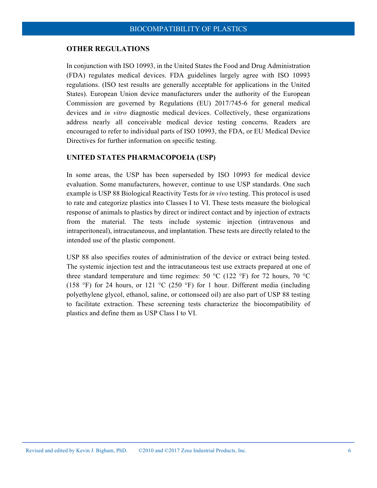#### **OTHER REGULATIONS**

In conjunction with ISO 10993, in the United States the Food and Drug Administration (FDA) regulates medical devices. FDA guidelines largely agree with ISO 10993 regulations. (ISO test results are generally acceptable for applications in the United States). European Union device manufacturers under the authority of the European Commission are governed by Regulations (EU) 2017/745-6 for general medical devices and *in vitro* diagnostic medical devices. Collectively, these organizations address nearly all conceivable medical device testing concerns. Readers are encouraged to refer to individual parts of ISO 10993, the FDA, or EU Medical Device Directives for further information on specific testing.

#### **UNITED STATES PHARMACOPOEIA (USP)**

In some areas, the USP has been superseded by ISO 10993 for medical device evaluation. Some manufacturers, however, continue to use USP standards. One such example is USP 88 Biological Reactivity Tests for *in vivo* testing. This protocol is used to rate and categorize plastics into Classes I to VI. These tests measure the biological response of animals to plastics by direct or indirect contact and by injection of extracts from the material. The tests include systemic injection (intravenous and intraperitoneal), intracutaneous, and implantation. These tests are directly related to the intended use of the plastic component.

USP 88 also specifies routes of administration of the device or extract being tested. The systemic injection test and the intracutaneous test use extracts prepared at one of three standard temperature and time regimes: 50  $^{\circ}$ C (122  $^{\circ}$ F) for 72 hours, 70  $^{\circ}$ C (158 °F) for 24 hours, or 121 °C (250 °F) for 1 hour. Different media (including polyethylene glycol, ethanol, saline, or cottonseed oil) are also part of USP 88 testing to facilitate extraction. These screening tests characterize the biocompatibility of plastics and define them as USP Class I to VI.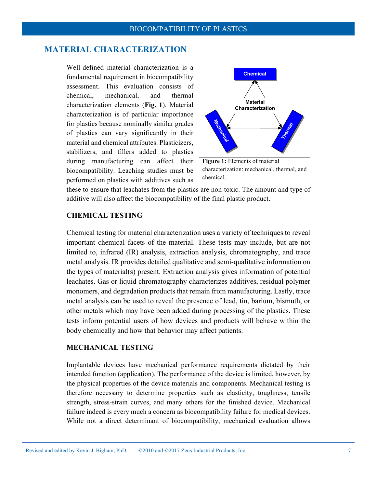# **MATERIAL CHARACTERIZATION**

Well-defined material characterization is a fundamental requirement in biocompatibility assessment. This evaluation consists of chemical, mechanical, and thermal characterization elements (**Fig. 1**). Material characterization is of particular importance for plastics because nominally similar grades of plastics can vary significantly in their material and chemical attributes. Plasticizers, stabilizers, and fillers added to plastics during manufacturing can affect their biocompatibility. Leaching studies must be performed on plastics with additives such as



these to ensure that leachates from the plastics are non-toxic. The amount and type of additive will also affect the biocompatibility of the final plastic product.

# **CHEMICAL TESTING**

Chemical testing for material characterization uses a variety of techniques to reveal important chemical facets of the material. These tests may include, but are not limited to, infrared (IR) analysis, extraction analysis, chromatography, and trace metal analysis. IR provides detailed qualitative and semi-qualitative information on the types of material(s) present. Extraction analysis gives information of potential leachates. Gas or liquid chromatography characterizes additives, residual polymer monomers, and degradation products that remain from manufacturing. Lastly, trace metal analysis can be used to reveal the presence of lead, tin, barium, bismuth, or other metals which may have been added during processing of the plastics. These tests inform potential users of how devices and products will behave within the body chemically and how that behavior may affect patients.

#### **MECHANICAL TESTING**

Implantable devices have mechanical performance requirements dictated by their intended function (application). The performance of the device is limited, however, by the physical properties of the device materials and components. Mechanical testing is therefore necessary to determine properties such as elasticity, toughness, tensile strength, stress-strain curves, and many others for the finished device. Mechanical failure indeed is every much a concern as biocompatibility failure for medical devices. While not a direct determinant of biocompatibility, mechanical evaluation allows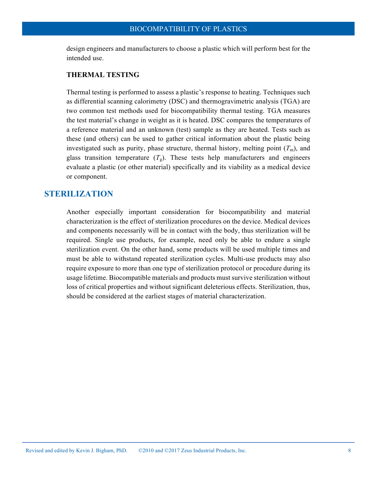design engineers and manufacturers to choose a plastic which will perform best for the intended use.

#### **THERMAL TESTING**

Thermal testing is performed to assess a plastic's response to heating. Techniques such as differential scanning calorimetry (DSC) and thermogravimetric analysis (TGA) are two common test methods used for biocompatibility thermal testing. TGA measures the test material's change in weight as it is heated. DSC compares the temperatures of a reference material and an unknown (test) sample as they are heated. Tests such as these (and others) can be used to gather critical information about the plastic being investigated such as purity, phase structure, thermal history, melting point  $(T<sub>m</sub>)$ , and glass transition temperature  $(T<sub>g</sub>)$ . These tests help manufacturers and engineers evaluate a plastic (or other material) specifically and its viability as a medical device or component.

# **STERILIZATION**

Another especially important consideration for biocompatibility and material characterization is the effect of sterilization procedures on the device. Medical devices and components necessarily will be in contact with the body, thus sterilization will be required. Single use products, for example, need only be able to endure a single sterilization event. On the other hand, some products will be used multiple times and must be able to withstand repeated sterilization cycles. Multi-use products may also require exposure to more than one type of sterilization protocol or procedure during its usage lifetime. Biocompatible materials and products must survive sterilization without loss of critical properties and without significant deleterious effects. Sterilization, thus, should be considered at the earliest stages of material characterization.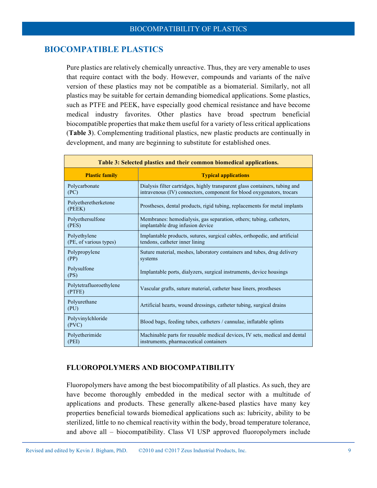# **BIOCOMPATIBLE PLASTICS**

Pure plastics are relatively chemically unreactive. Thus, they are very amenable to uses that require contact with the body. However, compounds and variants of the naïve version of these plastics may not be compatible as a biomaterial. Similarly, not all plastics may be suitable for certain demanding biomedical applications. Some plastics, such as PTFE and PEEK, have especially good chemical resistance and have become medical industry favorites. Other plastics have broad spectrum beneficial biocompatible properties that make them useful for a variety of less critical applications (**Table 3**). Complementing traditional plastics, new plastic products are continually in development, and many are beginning to substitute for established ones.

| Table 3: Selected plastics and their common biomedical applications. |                                                                                                                                                      |  |  |  |
|----------------------------------------------------------------------|------------------------------------------------------------------------------------------------------------------------------------------------------|--|--|--|
| <b>Plastic family</b>                                                | <b>Typical applications</b>                                                                                                                          |  |  |  |
| Polycarbonate<br>(PC)                                                | Dialysis filter cartridges, highly transparent glass containers, tubing and<br>intravenous (IV) connectors, component for blood oxygenators, trocars |  |  |  |
| Polyetheretherketone<br>(PEEK)                                       | Prostheses, dental products, rigid tubing, replacements for metal implants                                                                           |  |  |  |
| Polyethersulfone<br>(PES)                                            | Membranes: hemodialysis, gas separation, others; tubing, catheters,<br>implantable drug infusion device                                              |  |  |  |
| Polyethylene<br>(PE, of various types)                               | Implantable products, sutures, surgical cables, orthopedic, and artificial<br>tendons, catheter inner lining                                         |  |  |  |
| Polypropylene<br>(PP)                                                | Suture material, meshes, laboratory containers and tubes, drug delivery<br>systems                                                                   |  |  |  |
| Polysulfone<br>(PS)                                                  | Implantable ports, dialyzers, surgical instruments, device housings                                                                                  |  |  |  |
| Polytetrafluoroethylene<br>(PTFE)                                    | Vascular grafts, suture material, catheter base liners, prostheses                                                                                   |  |  |  |
| Polyurethane<br>(PU)                                                 | Artificial hearts, wound dressings, catheter tubing, surgical drains                                                                                 |  |  |  |
| Polyvinylchloride<br>(PVC)                                           | Blood bags, feeding tubes, catheters / cannulae, inflatable splints                                                                                  |  |  |  |
| Polyetherimide<br>(PEI)                                              | Machinable parts for reusable medical devices, IV sets, medical and dental<br>instruments, pharmaceutical containers                                 |  |  |  |

#### **FLUOROPOLYMERS AND BIOCOMPATIBILITY**

Fluoropolymers have among the best biocompatibility of all plastics. As such, they are have become thoroughly embedded in the medical sector with a multitude of applications and products. These generally alkene-based plastics have many key properties beneficial towards biomedical applications such as: lubricity, ability to be sterilized, little to no chemical reactivity within the body, broad temperature tolerance, and above all – biocompatibility. Class VI USP approved fluoropolymers include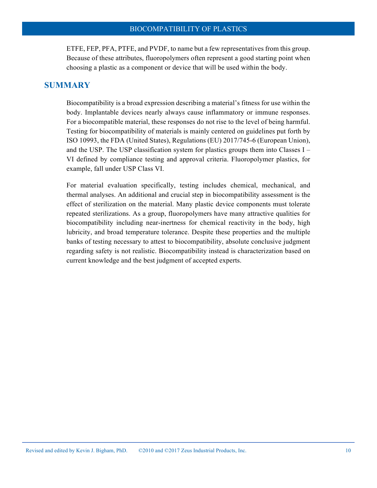ETFE, FEP, PFA, PTFE, and PVDF, to name but a few representatives from this group. Because of these attributes, fluoropolymers often represent a good starting point when choosing a plastic as a component or device that will be used within the body.

# **SUMMARY**

Biocompatibility is a broad expression describing a material's fitness for use within the body. Implantable devices nearly always cause inflammatory or immune responses. For a biocompatible material, these responses do not rise to the level of being harmful. Testing for biocompatibility of materials is mainly centered on guidelines put forth by ISO 10993, the FDA (United States), Regulations (EU) 2017/745-6 (European Union), and the USP. The USP classification system for plastics groups them into Classes  $I -$ VI defined by compliance testing and approval criteria. Fluoropolymer plastics, for example, fall under USP Class VI.

For material evaluation specifically, testing includes chemical, mechanical, and thermal analyses. An additional and crucial step in biocompatibility assessment is the effect of sterilization on the material. Many plastic device components must tolerate repeated sterilizations. As a group, fluoropolymers have many attractive qualities for biocompatibility including near-inertness for chemical reactivity in the body, high lubricity, and broad temperature tolerance. Despite these properties and the multiple banks of testing necessary to attest to biocompatibility, absolute conclusive judgment regarding safety is not realistic. Biocompatibility instead is characterization based on current knowledge and the best judgment of accepted experts.